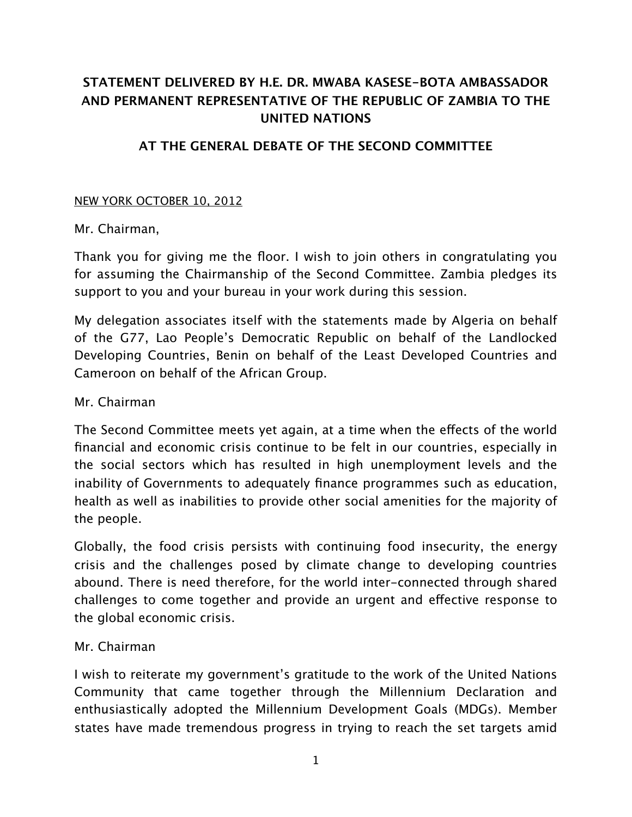# **STATEMENT DELIVERED BY H.E. DR. MWABA KASESE-BOTA AMBASSADOR AND PERMANENT REPRESENTATIVE OF THE REPUBLIC OF ZAMBIA TO THE UNITED NATIONS**

## **AT THE GENERAL DEBATE OF THE SECOND COMMITTEE**

### NEW YORK OCTOBER 10, 2012

### Mr. Chairman,

Thank you for giving me the floor. I wish to join others in congratulating you for assuming the Chairmanship of the Second Committee. Zambia pledges its support to you and your bureau in your work during this session.

My delegation associates itself with the statements made by Algeria on behalf of the G77, Lao People's Democratic Republic on behalf of the Landlocked Developing Countries, Benin on behalf of the Least Developed Countries and Cameroon on behalf of the African Group.

### Mr. Chairman

The Second Committee meets yet again, at a time when the effects of the world financial and economic crisis continue to be felt in our countries, especially in the social sectors which has resulted in high unemployment levels and the inability of Governments to adequately finance programmes such as education, health as well as inabilities to provide other social amenities for the majority of the people.

Globally, the food crisis persists with continuing food insecurity, the energy crisis and the challenges posed by climate change to developing countries abound. There is need therefore, for the world inter-connected through shared challenges to come together and provide an urgent and effective response to the global economic crisis.

### Mr. Chairman

I wish to reiterate my government's gratitude to the work of the United Nations Community that came together through the Millennium Declaration and enthusiastically adopted the Millennium Development Goals (MDGs). Member states have made tremendous progress in trying to reach the set targets amid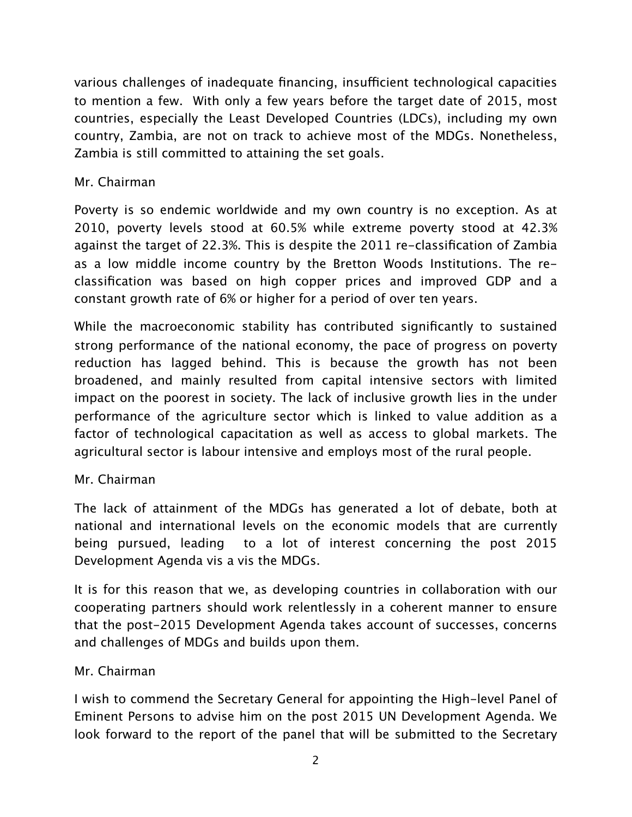various challenges of inadequate financing, insufficient technological capacities to mention a few. With only a few years before the target date of 2015, most countries, especially the Least Developed Countries (LDCs), including my own country, Zambia, are not on track to achieve most of the MDGs. Nonetheless, Zambia is still committed to attaining the set goals.

# Mr. Chairman

Poverty is so endemic worldwide and my own country is no exception. As at 2010, poverty levels stood at 60.5% while extreme poverty stood at 42.3% against the target of 22.3%. This is despite the 2011 re-classification of Zambia as a low middle income country by the Bretton Woods Institutions. The reclassification was based on high copper prices and improved GDP and a constant growth rate of 6% or higher for a period of over ten years.

While the macroeconomic stability has contributed significantly to sustained strong performance of the national economy, the pace of progress on poverty reduction has lagged behind. This is because the growth has not been broadened, and mainly resulted from capital intensive sectors with limited impact on the poorest in society. The lack of inclusive growth lies in the under performance of the agriculture sector which is linked to value addition as a factor of technological capacitation as well as access to global markets. The agricultural sector is labour intensive and employs most of the rural people.

# Mr. Chairman

The lack of attainment of the MDGs has generated a lot of debate, both at national and international levels on the economic models that are currently being pursued, leading to a lot of interest concerning the post 2015 Development Agenda vis a vis the MDGs.

It is for this reason that we, as developing countries in collaboration with our cooperating partners should work relentlessly in a coherent manner to ensure that the post-2015 Development Agenda takes account of successes, concerns and challenges of MDGs and builds upon them.

# Mr. Chairman

I wish to commend the Secretary General for appointing the High-level Panel of Eminent Persons to advise him on the post 2015 UN Development Agenda. We look forward to the report of the panel that will be submitted to the Secretary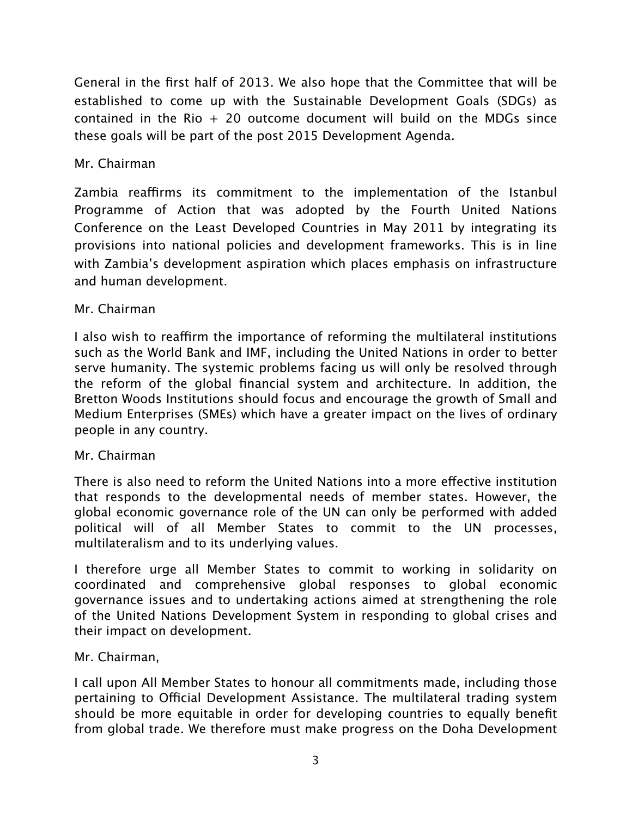General in the first half of 2013. We also hope that the Committee that will be established to come up with the Sustainable Development Goals (SDGs) as contained in the Rio  $+$  20 outcome document will build on the MDGs since these goals will be part of the post 2015 Development Agenda.

## Mr. Chairman

Zambia reaffirms its commitment to the implementation of the Istanbul Programme of Action that was adopted by the Fourth United Nations Conference on the Least Developed Countries in May 2011 by integrating its provisions into national policies and development frameworks. This is in line with Zambia's development aspiration which places emphasis on infrastructure and human development.

## Mr. Chairman

I also wish to reaffirm the importance of reforming the multilateral institutions such as the World Bank and IMF, including the United Nations in order to better serve humanity. The systemic problems facing us will only be resolved through the reform of the global financial system and architecture. In addition, the Bretton Woods Institutions should focus and encourage the growth of Small and Medium Enterprises (SMEs) which have a greater impact on the lives of ordinary people in any country.

### Mr. Chairman

There is also need to reform the United Nations into a more effective institution that responds to the developmental needs of member states. However, the global economic governance role of the UN can only be performed with added political will of all Member States to commit to the UN processes, multilateralism and to its underlying values.

I therefore urge all Member States to commit to working in solidarity on coordinated and comprehensive global responses to global economic governance issues and to undertaking actions aimed at strengthening the role of the United Nations Development System in responding to global crises and their impact on development.

# Mr. Chairman,

I call upon All Member States to honour all commitments made, including those pertaining to Official Development Assistance. The multilateral trading system should be more equitable in order for developing countries to equally benefit from global trade. We therefore must make progress on the Doha Development